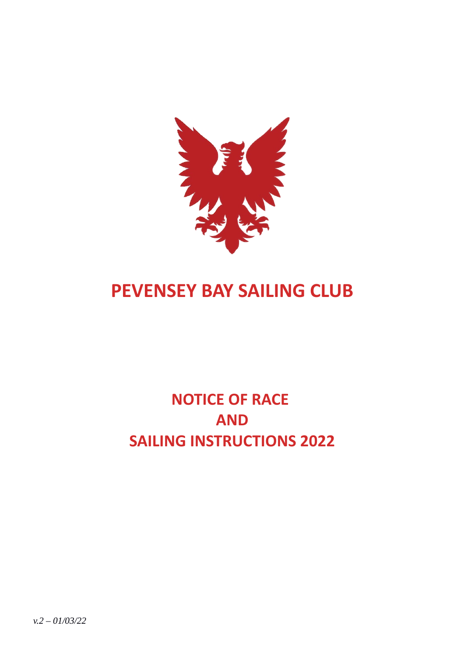

# **PEVENSEY BAY SAILING CLUB**

# **NOTICE OF RACE AND SAILING INSTRUCTIONS 2022**

*v.2 – 01/03/22*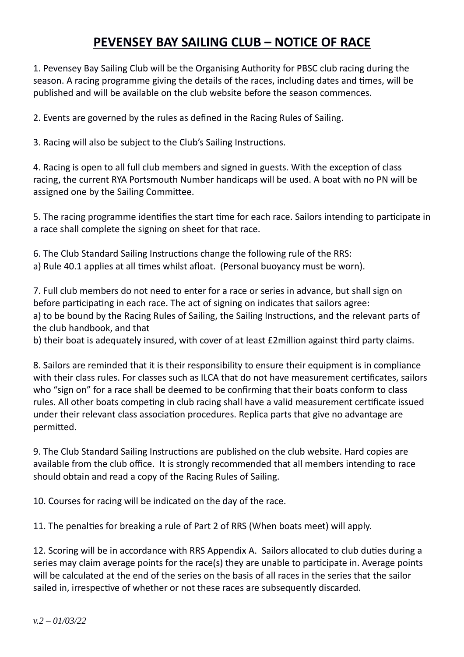# **PEVENSEY BAY SAILING CLUB – NOTICE OF RACE**

1. Pevensey Bay Sailing Club will be the Organising Authority for PBSC club racing during the season. A racing programme giving the details of the races, including dates and times, will be published and will be available on the club website before the season commences.

2. Events are governed by the rules as defined in the Racing Rules of Sailing.

3. Racing will also be subject to the Club's Sailing Instructions.

4. Racing is open to all full club members and signed in guests. With the exception of class racing, the current RYA Portsmouth Number handicaps will be used. A boat with no PN will be assigned one by the Sailing Committee.

5. The racing programme identifies the start time for each race. Sailors intending to participate in a race shall complete the signing on sheet for that race.

6. The Club Standard Sailing Instructions change the following rule of the RRS: a) Rule 40.1 applies at all times whilst afloat. (Personal buoyancy must be worn).

7. Full club members do not need to enter for a race or series in advance, but shall sign on before participating in each race. The act of signing on indicates that sailors agree: a) to be bound by the Racing Rules of Sailing, the Sailing Instructions, and the relevant parts of the club handbook, and that

b) their boat is adequately insured, with cover of at least £2million against third party claims.

8. Sailors are reminded that it is their responsibility to ensure their equipment is in compliance with their class rules. For classes such as ILCA that do not have measurement certificates, sailors who "sign on" for a race shall be deemed to be confirming that their boats conform to class rules. All other boats competing in club racing shall have a valid measurement certificate issued under their relevant class association procedures. Replica parts that give no advantage are permitted.

9. The Club Standard Sailing Instructions are published on the club website. Hard copies are available from the club office. It is strongly recommended that all members intending to race should obtain and read a copy of the Racing Rules of Sailing.

10. Courses for racing will be indicated on the day of the race.

11. The penalties for breaking a rule of Part 2 of RRS (When boats meet) will apply.

12. Scoring will be in accordance with RRS Appendix A. Sailors allocated to club duties during a series may claim average points for the race(s) they are unable to participate in. Average points will be calculated at the end of the series on the basis of all races in the series that the sailor sailed in, irrespective of whether or not these races are subsequently discarded.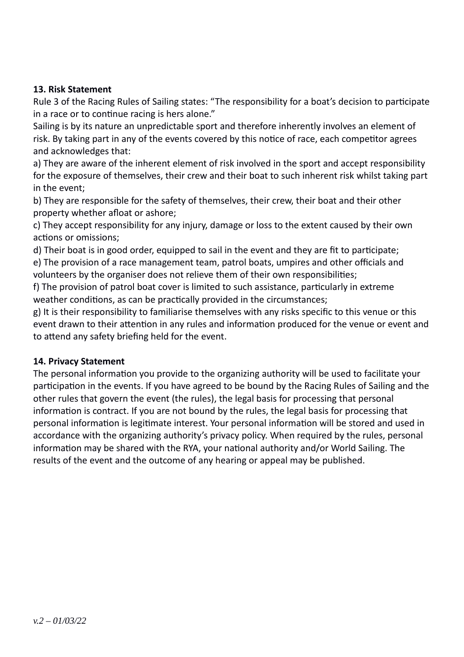# **13. Risk Statement**

Rule 3 of the Racing Rules of Sailing states: "The responsibility for a boat's decision to participate in a race or to continue racing is hers alone."

Sailing is by its nature an unpredictable sport and therefore inherently involves an element of risk. By taking part in any of the events covered by this notice of race, each competitor agrees and acknowledges that:

a) They are aware of the inherent element of risk involved in the sport and accept responsibility for the exposure of themselves, their crew and their boat to such inherent risk whilst taking part in the event;

b) They are responsible for the safety of themselves, their crew, their boat and their other property whether afloat or ashore;

c) They accept responsibility for any injury, damage or loss to the extent caused by their own actions or omissions;

d) Their boat is in good order, equipped to sail in the event and they are fit to participate;

e) The provision of a race management team, patrol boats, umpires and other officials and volunteers by the organiser does not relieve them of their own responsibilities;

f) The provision of patrol boat cover is limited to such assistance, particularly in extreme weather conditions, as can be practically provided in the circumstances;

g) It is their responsibility to familiarise themselves with any risks specific to this venue or this event drawn to their attention in any rules and information produced for the venue or event and to attend any safety briefing held for the event.

## **14. Privacy Statement**

The personal information you provide to the organizing authority will be used to facilitate your participation in the events. If you have agreed to be bound by the Racing Rules of Sailing and the other rules that govern the event (the rules), the legal basis for processing that personal information is contract. If you are not bound by the rules, the legal basis for processing that personal information is legitimate interest. Your personal information will be stored and used in accordance with the organizing authority's privacy policy. When required by the rules, personal information may be shared with the RYA, your national authority and/or World Sailing. The results of the event and the outcome of any hearing or appeal may be published.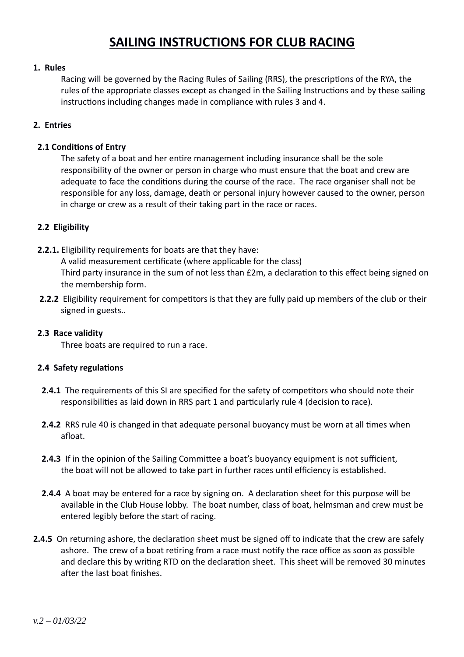# **SAILING INSTRUCTIONS FOR CLUB RACING**

#### **1. Rules**

Racing will be governed by the Racing Rules of Sailing (RRS), the prescriptions of the RYA, the rules of the appropriate classes except as changed in the Sailing Instructions and by these sailing instructions including changes made in compliance with rules 3 and 4.

### **2. Entries**

#### **2.1 Conditions of Entry**

The safety of a boat and her entire management including insurance shall be the sole responsibility of the owner or person in charge who must ensure that the boat and crew are adequate to face the conditions during the course of the race. The race organiser shall not be responsible for any loss, damage, death or personal injury however caused to the owner, person in charge or crew as a result of their taking part in the race or races.

### **2.2 Eligibility**

- **2.2.1.** Eligibility requirements for boats are that they have: A valid measurement certificate (where applicable for the class) Third party insurance in the sum of not less than £2m, a declaration to this effect being signed on the membership form.
- **2.2.2** Eligibility requirement for competitors is that they are fully paid up members of the club or their signed in guests..

#### **2.3 Race validity**

Three boats are required to run a race.

#### **2.4 Safety regulations**

- **2.4.1** The requirements of this SI are specified for the safety of competitors who should note their responsibilities as laid down in RRS part 1 and particularly rule 4 (decision to race).
- **2.4.2** RRS rule 40 is changed in that adequate personal buoyancy must be worn at all times when afloat.
- **2.4.3** If in the opinion of the Sailing Committee a boat's buoyancy equipment is not sufficient, the boat will not be allowed to take part in further races until efficiency is established.
- **2.4.4** A boat may be entered for a race by signing on. A declaration sheet for this purpose will be available in the Club House lobby. The boat number, class of boat, helmsman and crew must be entered legibly before the start of racing.
- **2.4.5** On returning ashore, the declaration sheet must be signed off to indicate that the crew are safely ashore. The crew of a boat retiring from a race must notify the race office as soon as possible and declare this by writing RTD on the declaration sheet. This sheet will be removed 30 minutes after the last boat finishes.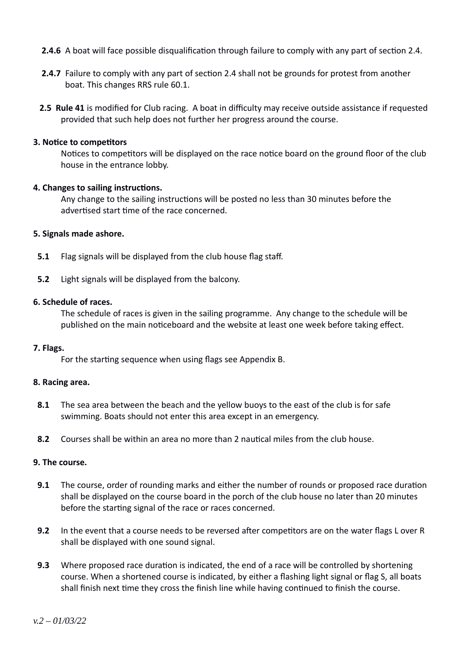- **2.4.6** A boat will face possible disqualification through failure to comply with any part of section 2.4.
- **2.4.7** Failure to comply with any part of section 2.4 shall not be grounds for protest from another boat. This changes RRS rule 60.1.
- **2.5 Rule 41** is modified for Club racing. A boat in difficulty may receive outside assistance if requested provided that such help does not further her progress around the course.

#### **3. Notice to competitors**

Notices to competitors will be displayed on the race notice board on the ground floor of the club house in the entrance lobby.

#### **4. Changes to sailing instructions.**

Any change to the sailing instructions will be posted no less than 30 minutes before the advertised start time of the race concerned.

#### **5. Signals made ashore.**

- **5.1** Flag signals will be displayed from the club house flag staff.
- **5.2** Light signals will be displayed from the balcony.

#### **6. Schedule of races.**

The schedule of races is given in the sailing programme. Any change to the schedule will be published on the main noticeboard and the website at least one week before taking effect.

#### **7. Flags.**

For the starting sequence when using flags see Appendix B.

#### **8. Racing area.**

- **8.1** The sea area between the beach and the yellow buoys to the east of the club is for safe swimming. Boats should not enter this area except in an emergency.
- **8.2** Courses shall be within an area no more than 2 nautical miles from the club house.

#### **9. The course.**

- **9.1** The course, order of rounding marks and either the number of rounds or proposed race duration shall be displayed on the course board in the porch of the club house no later than 20 minutes before the starting signal of the race or races concerned.
- **9.2** In the event that a course needs to be reversed after competitors are on the water flags L over R shall be displayed with one sound signal.
- **9.3** Where proposed race duration is indicated, the end of a race will be controlled by shortening course. When a shortened course is indicated, by either a flashing light signal or flag S, all boats shall finish next time they cross the finish line while having continued to finish the course.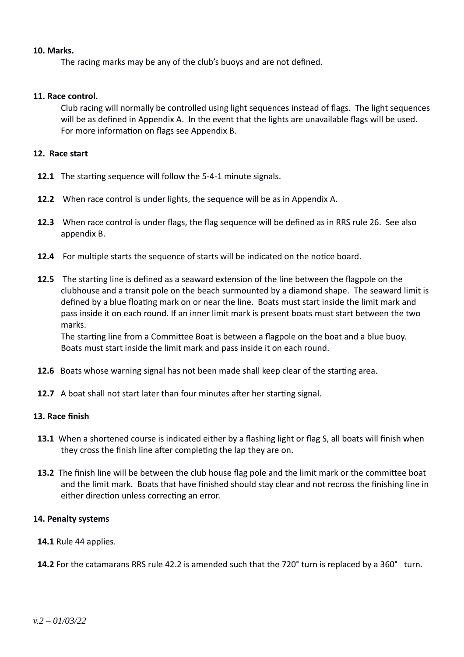#### **10. Marks.**

The racing marks may be any of the club's buoys and are not defined.

#### **11. Race control.**

Club racing will normally be controlled using light sequences instead of flags. The light sequences will be as defined in Appendix A. In the event that the lights are unavailable flags will be used. For more information on flags see Appendix B.

#### **12. Race start**

- **12.1** The starting sequence will follow the 5-4-1 minute signals.
- **12.2** When race control is under lights, the sequence will be as in Appendix A.
- **12.3** When race control is under flags, the flag sequence will be defined as in RRS rule 26. See also appendix B.
- **12.4** For multiple starts the sequence of starts will be indicated on the notice board.
- **12.5** The starting line is defined as a seaward extension of the line between the flagpole on the clubhouse and a transit pole on the beach surmounted by a diamond shape. The seaward limit is defined by a blue floating mark on or near the line. Boats must start inside the limit mark and pass inside it on each round. If an inner limit mark is present boats must start between the two marks.

The starting line from a Committee Boat is between a flagpole on the boat and a blue buoy. Boats must start inside the limit mark and pass inside it on each round.

- **12.6** Boats whose warning signal has not been made shall keep clear of the starting area.
- **12.7** A boat shall not start later than four minutes after her starting signal.

#### **13. Race finish**

- **13.1** When a shortened course is indicated either by a flashing light or flag S, all boats will finish when they cross the finish line after completing the lap they are on.
- **13.2** The finish line will be between the club house flag pole and the limit mark or the committee boat and the limit mark. Boats that have finished should stay clear and not recross the finishing line in either direction unless correcting an error.

#### **14. Penalty systems**

- **14.1** Rule 44 applies.
- **14.2** For the catamarans RRS rule 42.2 is amended such that the 720° turn is replaced by a 360° turn.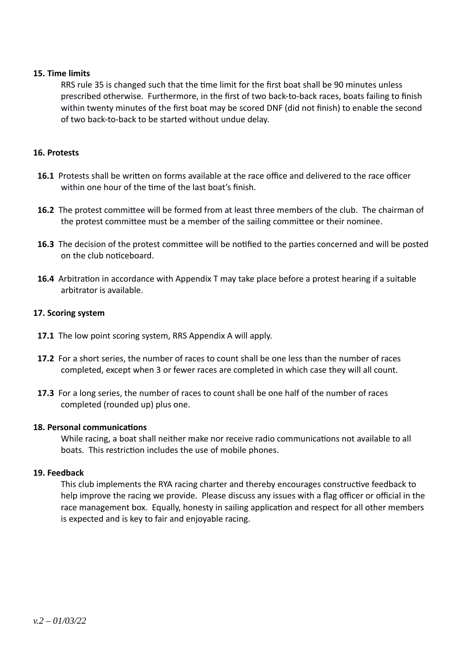#### **15. Time limits**

RRS rule 35 is changed such that the time limit for the first boat shall be 90 minutes unless prescribed otherwise. Furthermore, in the first of two back-to-back races, boats failing to finish within twenty minutes of the first boat may be scored DNF (did not finish) to enable the second of two back-to-back to be started without undue delay.

#### **16. Protests**

- **16.1** Protests shall be written on forms available at the race office and delivered to the race officer within one hour of the time of the last boat's finish.
- **16.2** The protest committee will be formed from at least three members of the club. The chairman of the protest committee must be a member of the sailing committee or their nominee.
- **16.3** The decision of the protest committee will be notified to the parties concerned and will be posted on the club noticeboard.
- **16.4** Arbitration in accordance with Appendix T may take place before a protest hearing if a suitable arbitrator is available.

#### **17. Scoring system**

- **17.1** The low point scoring system, RRS Appendix A will apply.
- **17.2** For a short series, the number of races to count shall be one less than the number of races completed, except when 3 or fewer races are completed in which case they will all count.
- **17.3** For a long series, the number of races to count shall be one half of the number of races completed (rounded up) plus one.

#### **18. Personal communications**

While racing, a boat shall neither make nor receive radio communications not available to all boats. This restriction includes the use of mobile phones.

#### **19. Feedback**

This club implements the RYA racing charter and thereby encourages constructive feedback to help improve the racing we provide. Please discuss any issues with a flag officer or official in the race management box. Equally, honesty in sailing application and respect for all other members is expected and is key to fair and enjoyable racing.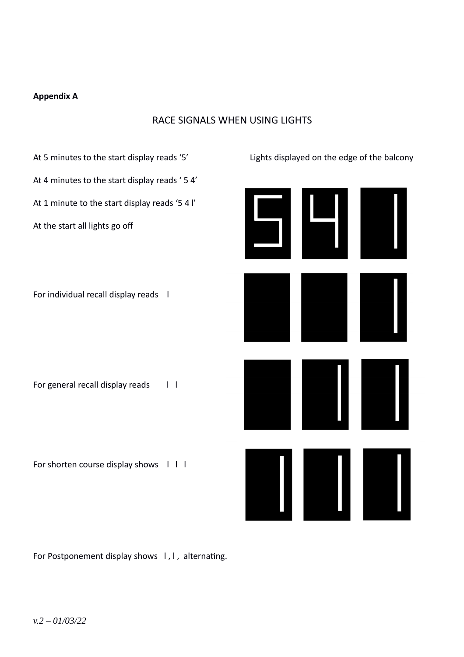#### **Appendix A**

## RACE SIGNALS WHEN USING LIGHTS



For Postponement display shows I, I, alternating.